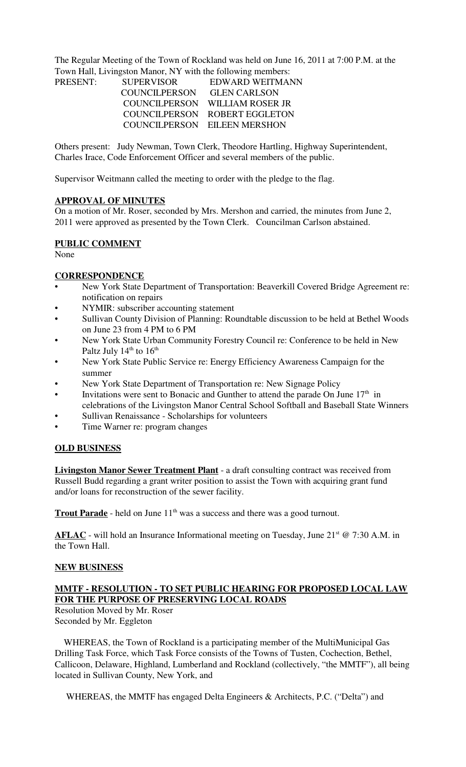The Regular Meeting of the Town of Rockland was held on June 16, 2011 at 7:00 P.M. at the Town Hall, Livingston Manor, NY with the following members:

| <b>SUPERVISOR</b> | EDWARD WEITMANN                |
|-------------------|--------------------------------|
| COUNCILPERSON     | <b>GLEN CARLSON</b>            |
|                   | COUNCILPERSON WILLIAM ROSER JR |
|                   | COUNCILPERSON ROBERT EGGLETON  |
|                   | COUNCILPERSON EILEEN MERSHON   |
|                   |                                |

Others present: Judy Newman, Town Clerk, Theodore Hartling, Highway Superintendent, Charles Irace, Code Enforcement Officer and several members of the public.

Supervisor Weitmann called the meeting to order with the pledge to the flag.

#### **APPROVAL OF MINUTES**

On a motion of Mr. Roser, seconded by Mrs. Mershon and carried, the minutes from June 2, 2011 were approved as presented by the Town Clerk. Councilman Carlson abstained.

#### **PUBLIC COMMENT**

None

### **CORRESPONDENCE**

- New York State Department of Transportation: Beaverkill Covered Bridge Agreement re: notification on repairs
- NYMIR: subscriber accounting statement
- Sullivan County Division of Planning: Roundtable discussion to be held at Bethel Woods on June 23 from 4 PM to 6 PM
- New York State Urban Community Forestry Council re: Conference to be held in New Paltz July  $14<sup>th</sup>$  to  $16<sup>th</sup>$
- New York State Public Service re: Energy Efficiency Awareness Campaign for the summer
- New York State Department of Transportation re: New Signage Policy
- Invitations were sent to Bonacic and Gunther to attend the parade On June  $17<sup>th</sup>$  in celebrations of the Livingston Manor Central School Softball and Baseball State Winners
- Sullivan Renaissance Scholarships for volunteers
- Time Warner re: program changes

### **OLD BUSINESS**

**Livingston Manor Sewer Treatment Plant** - a draft consulting contract was received from Russell Budd regarding a grant writer position to assist the Town with acquiring grant fund and/or loans for reconstruction of the sewer facility.

**Trout Parade** - held on June 11<sup>th</sup> was a success and there was a good turnout.

**AFLAC** - will hold an Insurance Informational meeting on Tuesday, June 21<sup>st</sup> @ 7:30 A.M. in the Town Hall.

### **NEW BUSINESS**

# **MMTF - RESOLUTION - TO SET PUBLIC HEARING FOR PROPOSED LOCAL LAW FOR THE PURPOSE OF PRESERVING LOCAL ROADS**

Resolution Moved by Mr. Roser Seconded by Mr. Eggleton

 WHEREAS, the Town of Rockland is a participating member of the MultiMunicipal Gas Drilling Task Force, which Task Force consists of the Towns of Tusten, Cochection, Bethel, Callicoon, Delaware, Highland, Lumberland and Rockland (collectively, "the MMTF"), all being located in Sullivan County, New York, and

WHEREAS, the MMTF has engaged Delta Engineers & Architects, P.C. ("Delta") and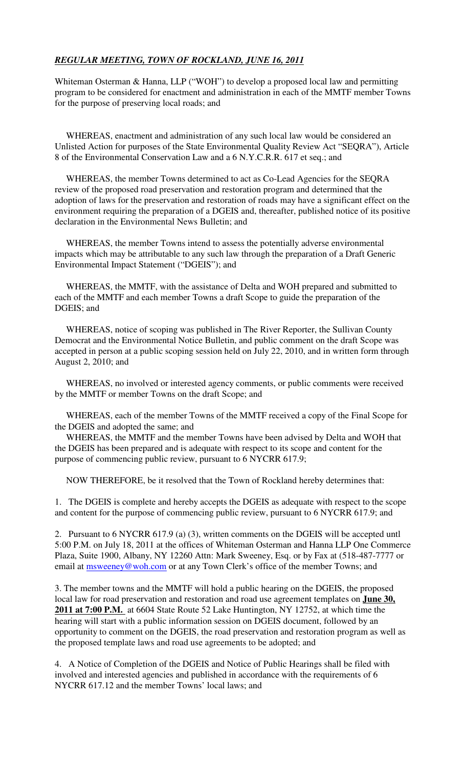# *REGULAR MEETING, TOWN OF ROCKLAND, JUNE 16, 2011*

Whiteman Osterman & Hanna, LLP ("WOH") to develop a proposed local law and permitting program to be considered for enactment and administration in each of the MMTF member Towns for the purpose of preserving local roads; and

 WHEREAS, enactment and administration of any such local law would be considered an Unlisted Action for purposes of the State Environmental Quality Review Act "SEQRA"), Article 8 of the Environmental Conservation Law and a 6 N.Y.C.R.R. 617 et seq.; and

 WHEREAS, the member Towns determined to act as Co-Lead Agencies for the SEQRA review of the proposed road preservation and restoration program and determined that the adoption of laws for the preservation and restoration of roads may have a significant effect on the environment requiring the preparation of a DGEIS and, thereafter, published notice of its positive declaration in the Environmental News Bulletin; and

 WHEREAS, the member Towns intend to assess the potentially adverse environmental impacts which may be attributable to any such law through the preparation of a Draft Generic Environmental Impact Statement ("DGEIS"); and

 WHEREAS, the MMTF, with the assistance of Delta and WOH prepared and submitted to each of the MMTF and each member Towns a draft Scope to guide the preparation of the DGEIS; and

 WHEREAS, notice of scoping was published in The River Reporter, the Sullivan County Democrat and the Environmental Notice Bulletin, and public comment on the draft Scope was accepted in person at a public scoping session held on July 22, 2010, and in written form through August 2, 2010; and

 WHEREAS, no involved or interested agency comments, or public comments were received by the MMTF or member Towns on the draft Scope; and

 WHEREAS, each of the member Towns of the MMTF received a copy of the Final Scope for the DGEIS and adopted the same; and

 WHEREAS, the MMTF and the member Towns have been advised by Delta and WOH that the DGEIS has been prepared and is adequate with respect to its scope and content for the purpose of commencing public review, pursuant to 6 NYCRR 617.9;

NOW THEREFORE, be it resolved that the Town of Rockland hereby determines that:

1. The DGEIS is complete and hereby accepts the DGEIS as adequate with respect to the scope and content for the purpose of commencing public review, pursuant to 6 NYCRR 617.9; and

2. Pursuant to 6 NYCRR 617.9 (a) (3), written comments on the DGEIS will be accepted untl 5:00 P.M. on July 18, 2011 at the offices of Whiteman Osterman and Hanna LLP One Commerce Plaza, Suite 1900, Albany, NY 12260 Attn: Mark Sweeney, Esq. or by Fax at (518-487-7777 or email at **msweeney@woh.com** or at any Town Clerk's office of the member Towns; and

3. The member towns and the MMTF will hold a public hearing on the DGEIS, the proposed local law for road preservation and restoration and road use agreement templates on **June 30, 2011 at 7:00 P.M.** at 6604 State Route 52 Lake Huntington, NY 12752, at which time the hearing will start with a public information session on DGEIS document, followed by an opportunity to comment on the DGEIS, the road preservation and restoration program as well as the proposed template laws and road use agreements to be adopted; and

4. A Notice of Completion of the DGEIS and Notice of Public Hearings shall be filed with involved and interested agencies and published in accordance with the requirements of 6 NYCRR 617.12 and the member Towns' local laws; and